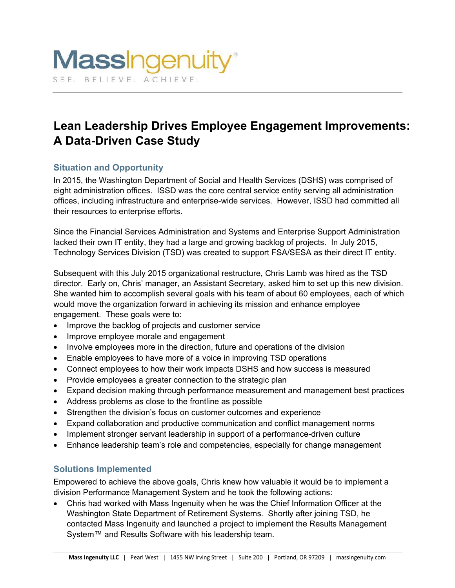# **Lean Leadership Drives Employee Engagement Improvements: A Data-Driven Case Study**

## **Situation and Opportunity**

In 2015, the Washington Department of Social and Health Services (DSHS) was comprised of eight administration offices. ISSD was the core central service entity serving all administration offices, including infrastructure and enterprise-wide services. However, ISSD had committed all their resources to enterprise efforts.

Since the Financial Services Administration and Systems and Enterprise Support Administration lacked their own IT entity, they had a large and growing backlog of projects. In July 2015, Technology Services Division (TSD) was created to support FSA/SESA as their direct IT entity.

Subsequent with this July 2015 organizational restructure, Chris Lamb was hired as the TSD director. Early on, Chris' manager, an Assistant Secretary, asked him to set up this new division. She wanted him to accomplish several goals with his team of about 60 employees, each of which would move the organization forward in achieving its mission and enhance employee engagement. These goals were to:

- Improve the backlog of projects and customer service
- Improve employee morale and engagement
- Involve employees more in the direction, future and operations of the division
- Enable employees to have more of a voice in improving TSD operations
- Connect employees to how their work impacts DSHS and how success is measured
- Provide employees a greater connection to the strategic plan
- Expand decision making through performance measurement and management best practices
- Address problems as close to the frontline as possible
- Strengthen the division's focus on customer outcomes and experience
- Expand collaboration and productive communication and conflict management norms
- Implement stronger servant leadership in support of a performance-driven culture
- Enhance leadership team's role and competencies, especially for change management

#### **Solutions Implemented**

Empowered to achieve the above goals, Chris knew how valuable it would be to implement a division Performance Management System and he took the following actions:

 Chris had worked with Mass Ingenuity when he was the Chief Information Officer at the Washington State Department of Retirement Systems. Shortly after joining TSD, he contacted Mass Ingenuity and launched a project to implement the Results Management System™ and Results Software with his leadership team.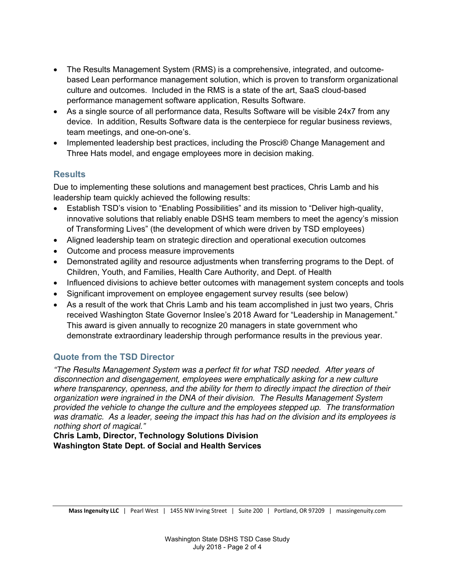- The Results Management System (RMS) is a comprehensive, integrated, and outcomebased Lean performance management solution, which is proven to transform organizational culture and outcomes. Included in the RMS is a state of the art, SaaS cloud-based performance management software application, Results Software.
- As a single source of all performance data, Results Software will be visible 24x7 from any device. In addition, Results Software data is the centerpiece for regular business reviews, team meetings, and one-on-one's.
- Implemented leadership best practices, including the Prosci® Change Management and Three Hats model, and engage employees more in decision making.

## **Results**

Due to implementing these solutions and management best practices, Chris Lamb and his leadership team quickly achieved the following results:

- Establish TSD's vision to "Enabling Possibilities" and its mission to "Deliver high-quality, innovative solutions that reliably enable DSHS team members to meet the agency's mission of Transforming Lives" (the development of which were driven by TSD employees)
- Aligned leadership team on strategic direction and operational execution outcomes
- Outcome and process measure improvements
- Demonstrated agility and resource adjustments when transferring programs to the Dept. of Children, Youth, and Families, Health Care Authority, and Dept. of Health
- Influenced divisions to achieve better outcomes with management system concepts and tools
- Significant improvement on employee engagement survey results (see below)
- As a result of the work that Chris Lamb and his team accomplished in just two years, Chris received Washington State Governor Inslee's 2018 Award for "Leadership in Management." This award is given annually to recognize 20 managers in state government who demonstrate extraordinary leadership through performance results in the previous year.

## **Quote from the TSD Director**

"The Results Management System was a perfect fit for what TSD needed. After years of disconnection and disengagement, employees were emphatically asking for a new culture where transparency, openness, and the ability for them to directly impact the direction of their organization were ingrained in the DNA of their division. The Results Management System provided the vehicle to change the culture and the employees stepped up. The transformation was dramatic. As a leader, seeing the impact this has had on the division and its employees is nothing short of magical."

**Chris Lamb, Director, Technology Solutions Division Washington State Dept. of Social and Health Services**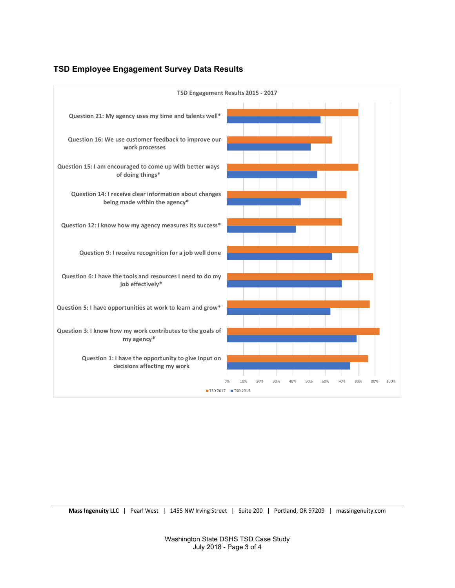#### **TSD Employee Engagement Survey Data Results**